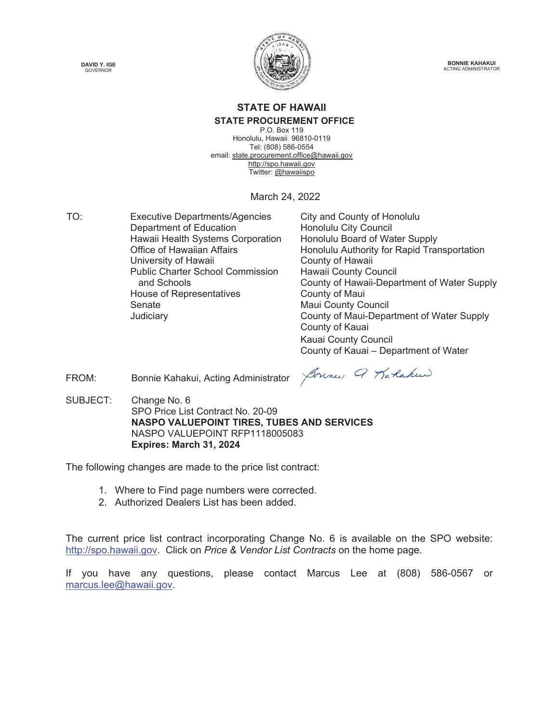



**BONNIE KAHAKUI** ACTING ADMINISTRATOR

### **STATE OF HAWAII STATE PROCUREMENT OFFICE**

P.O. Box 119 Honolulu, Hawaii 96810-0119 Tel: (808) 586-0554 email: state.procurement.office@hawaii.gov http://spo.hawaii.gov Twitter: @hawaiispo

March 24, 2022

TO: Executive Departments/Agencies City and County of Honolulu Department of Education **Honolulu City Council** Hawaii Health Systems Corporation Honolulu Board of Water Supply University of Hawaii **County of Hawaii** Public Charter School Commission and Schools House of Representatives **County of Maui** Senate **Maui County Council** Maui County Council

Office of Hawaiian Affairs **Honolulu Authority for Rapid Transportation** Hawaii County Council County of Hawaii-Department of Water Supply Judiciary County of Maui-Department of Water Supply County of Kauai Kauai County Council County of Kauai – Department of Water

FROM: Bonnie Kahakui, Acting Administrator

Sonne Q Karaku

SUBJECT: Change No. 6 SPO Price List Contract No. 20-09 **NASPO VALUEPOINT TIRES, TUBES AND SERVICES** NASPO VALUEPOINT RFP1118005083 **Expires: March 31, 2024** 

The following changes are made to the price list contract:

- 1. Where to Find page numbers were corrected.
- 2. Authorized Dealers List has been added.

The current price list contract incorporating Change No. 6 is available on the SPO website: http://spo.hawaii.gov. Click on *Price & Vendor List Contracts* on the home page.

If you have any questions, please contact Marcus Lee at (808) 586-0567 or marcus.lee@hawaii.gov.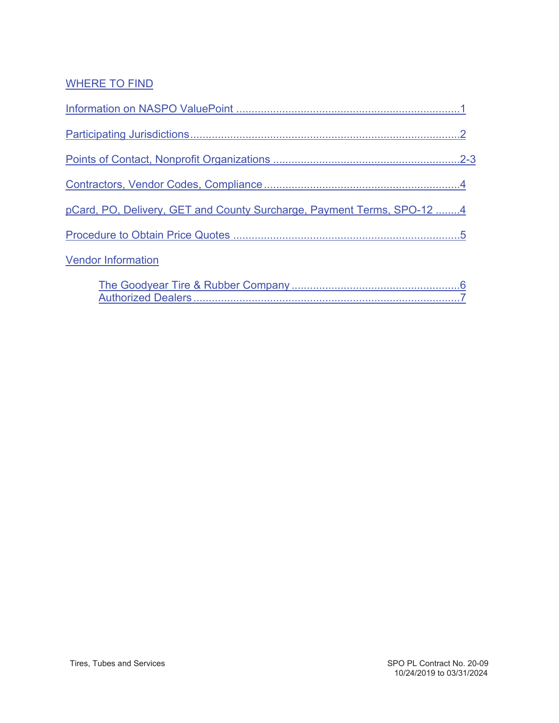### WHERE TO FIND

| pCard, PO, Delivery, GET and County Surcharge, Payment Terms, SPO-12 4 |
|------------------------------------------------------------------------|
|                                                                        |
| <b>Vendor Information</b>                                              |
|                                                                        |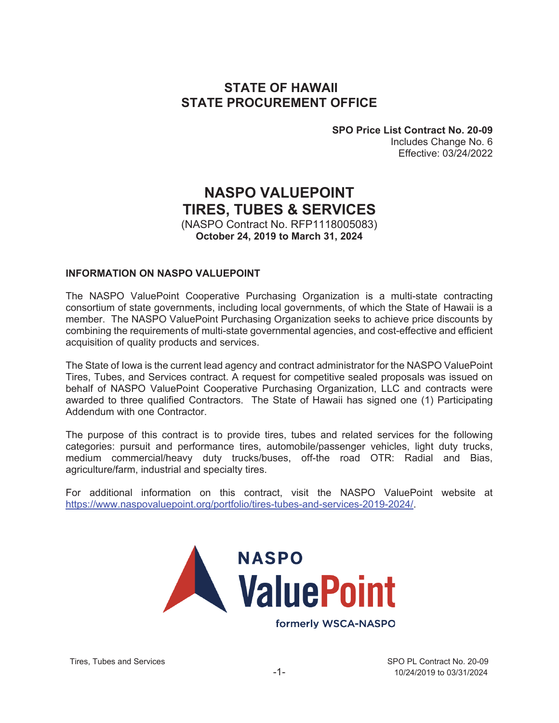### **STATE OF HAWAII STATE PROCUREMENT OFFICE**

**SPO Price List Contract No. 20-09** Includes Change No. 6 Effective: 03/24/2022

# **NASPO VALUEPOINT TIRES, TUBES & SERVICES**

(NASPO Contract No. RFP1118005083) **October 24, 2019 to March 31, 2024**

#### **INFORMATION ON NASPO VALUEPOINT**

The NASPO ValuePoint Cooperative Purchasing Organization is a multi-state contracting consortium of state governments, including local governments, of which the State of Hawaii is a member. The NASPO ValuePoint Purchasing Organization seeks to achieve price discounts by combining the requirements of multi-state governmental agencies, and cost-effective and efficient acquisition of quality products and services.

The State of Iowa is the current lead agency and contract administrator for the NASPO ValuePoint Tires, Tubes, and Services contract. A request for competitive sealed proposals was issued on behalf of NASPO ValuePoint Cooperative Purchasing Organization, LLC and contracts were awarded to three qualified Contractors. The State of Hawaii has signed one (1) Participating Addendum with one Contractor.

The purpose of this contract is to provide tires, tubes and related services for the following categories: pursuit and performance tires, automobile/passenger vehicles, light duty trucks, medium commercial/heavy duty trucks/buses, off-the road OTR: Radial and Bias, agriculture/farm, industrial and specialty tires.

For additional information on this contract, visit the NASPO ValuePoint website at https://www.naspovaluepoint.org/portfolio/tires-tubes-and-services-2019-2024/.



Tires, Tubes and Services Sports and Services Sports Sports and Services Sports and Services Sports and Services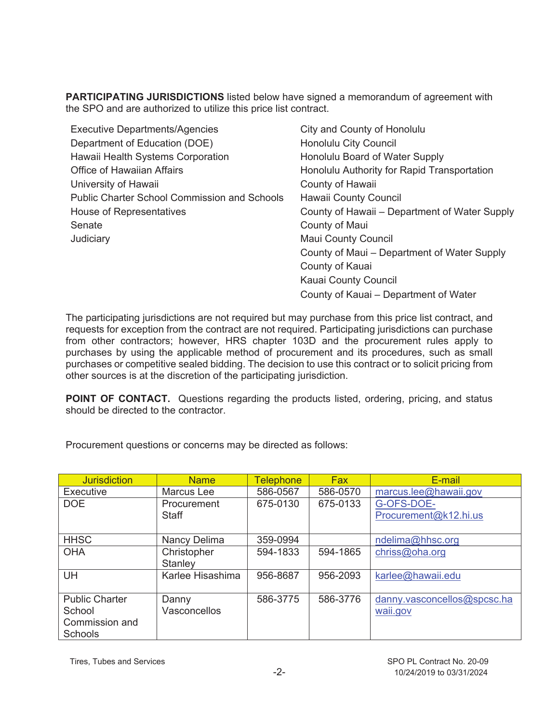**PARTICIPATING JURISDICTIONS** listed below have signed a memorandum of agreement with the SPO and are authorized to utilize this price list contract.

- Executive Departments/Agencies City and County of Honolulu Department of Education (DOE) Honolulu City Council Hawaii Health Systems Corporation **Honolulu Board of Water Supply** Office of Hawaiian Affairs **Honolulu Authority for Rapid Transportation** University of Hawaii **County of Hawaii** County of Hawaii Public Charter School Commission and Schools Hawaii County Council House of Representatives County of Hawaii – Department of Water Supply Senate County of Maui Judiciary **Maui County Council** Maui County Council
	- County of Maui Department of Water Supply County of Kauai Kauai County Council County of Kauai – Department of Water

The participating jurisdictions are not required but may purchase from this price list contract, and requests for exception from the contract are not required. Participating jurisdictions can purchase from other contractors; however, HRS chapter 103D and the procurement rules apply to purchases by using the applicable method of procurement and its procedures, such as small purchases or competitive sealed bidding. The decision to use this contract or to solicit pricing from other sources is at the discretion of the participating jurisdiction.

**POINT OF CONTACT.** Questions regarding the products listed, ordering, pricing, and status should be directed to the contractor.

Procurement questions or concerns may be directed as follows:

| <b>Jurisdiction</b>   | <b>Name</b>       | <b>Telephone</b> | <b>Fax</b> | E-mail                      |
|-----------------------|-------------------|------------------|------------|-----------------------------|
| Executive             | <b>Marcus</b> Lee | 586-0567         | 586-0570   | marcus.lee@hawaii.gov       |
| <b>DOE</b>            | Procurement       | 675-0130         | 675-0133   | G-OFS-DOE-                  |
|                       | <b>Staff</b>      |                  |            | Procurement@k12.hi.us       |
|                       |                   |                  |            |                             |
| <b>HHSC</b>           | Nancy Delima      | 359-0994         |            | ndelima@hhsc.org            |
| <b>OHA</b>            | Christopher       | 594-1833         | 594-1865   | chriss@oha.org              |
|                       | Stanley           |                  |            |                             |
| UH                    | Karlee Hisashima  | 956-8687         | 956-2093   | karlee@hawaii.edu           |
|                       |                   |                  |            |                             |
| <b>Public Charter</b> | Danny             | 586-3775         | 586-3776   | danny.vasconcellos@spcsc.ha |
| School                | Vasconcellos      |                  |            | waii.gov                    |
| Commission and        |                   |                  |            |                             |
| Schools               |                   |                  |            |                             |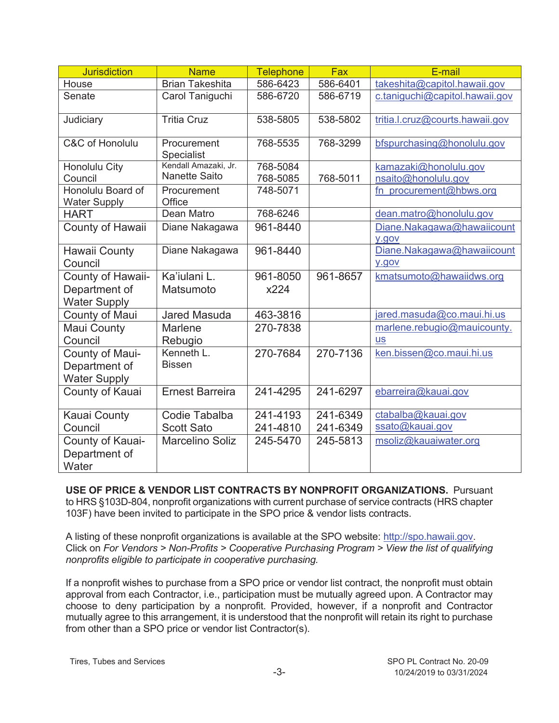| <b>Jurisdiction</b>                        | <b>Name</b>                      | <b>Telephone</b> | Fax      | E-mail                              |
|--------------------------------------------|----------------------------------|------------------|----------|-------------------------------------|
| House                                      | <b>Brian Takeshita</b>           | 586-6423         | 586-6401 | takeshita@capitol.hawaii.gov        |
| Senate                                     | Carol Taniguchi                  | 586-6720         | 586-6719 | c.taniquchi@capitol.hawaii.gov      |
| Judiciary                                  | <b>Tritia Cruz</b>               | 538-5805         | 538-5802 | tritia.l.cruz@courts.hawaii.gov     |
| <b>C&amp;C of Honolulu</b>                 | Procurement<br><b>Specialist</b> | 768-5535         | 768-3299 | bfspurchasing@honolulu.gov          |
| Honolulu City                              | Kendall Amazaki, Jr.             | 768-5084         |          | kamazaki@honolulu.gov               |
| Council                                    | <b>Nanette Saito</b>             | 768-5085         | 768-5011 | nsaito@honolulu.gov                 |
| Honolulu Board of<br><b>Water Supply</b>   | Procurement<br>Office            | 748-5071         |          | fn procurement@hbws.org             |
| <b>HART</b>                                | Dean Matro                       | 768-6246         |          | dean.matro@honolulu.gov             |
| County of Hawaii                           | Diane Nakagawa                   | 961-8440         |          | Diane.Nakagawa@hawaiicount<br>y.gov |
| <b>Hawaii County</b>                       | Diane Nakagawa                   | 961-8440         |          | Diane.Nakagawa@hawaiicount          |
| Council                                    |                                  |                  |          | y.gov                               |
| County of Hawaii-                          | Ka'iulani L.                     | 961-8050         | 961-8657 | kmatsumoto@hawaiidws.org            |
| Department of                              | Matsumoto                        | x224             |          |                                     |
| <b>Water Supply</b>                        |                                  |                  |          |                                     |
| County of Maui                             | <b>Jared Masuda</b>              | 463-3816         |          | jared.masuda@co.maui.hi.us          |
| <b>Maui County</b>                         | <b>Marlene</b>                   | 270-7838         |          | marlene.rebugio@mauicounty.         |
| Council                                    | Rebugio                          |                  |          | <b>US</b>                           |
| County of Maui-                            | Kenneth L.                       | 270-7684         | 270-7136 | ken.bissen@co.maui.hi.us            |
| Department of                              | <b>Bissen</b>                    |                  |          |                                     |
| <b>Water Supply</b>                        |                                  |                  |          |                                     |
| County of Kauai                            | <b>Ernest Barreira</b>           | 241-4295         | 241-6297 | ebarreira@kauai.gov                 |
| <b>Kauai County</b>                        | Codie Tabalba                    | 241-4193         | 241-6349 | ctabalba@kauai.gov                  |
| Council                                    | <b>Scott Sato</b>                | 241-4810         | 241-6349 | ssato@kauai.gov                     |
| County of Kauai-<br>Department of<br>Water | <b>Marcelino Soliz</b>           | 245-5470         | 245-5813 | msoliz@kauaiwater.org               |

**USE OF PRICE & VENDOR LIST CONTRACTS BY NONPROFIT ORGANIZATIONS.** Pursuant to HRS §103D-804, nonprofit organizations with current purchase of service contracts (HRS chapter 103F) have been invited to participate in the SPO price & vendor lists contracts.

A listing of these nonprofit organizations is available at the SPO website: http://spo.hawaii.gov. Click on *For Vendors > Non-Profits > Cooperative Purchasing Program > View the list of qualifying nonprofits eligible to participate in cooperative purchasing.* 

If a nonprofit wishes to purchase from a SPO price or vendor list contract, the nonprofit must obtain approval from each Contractor, i.e., participation must be mutually agreed upon. A Contractor may choose to deny participation by a nonprofit. Provided, however, if a nonprofit and Contractor mutually agree to this arrangement, it is understood that the nonprofit will retain its right to purchase from other than a SPO price or vendor list Contractor(s).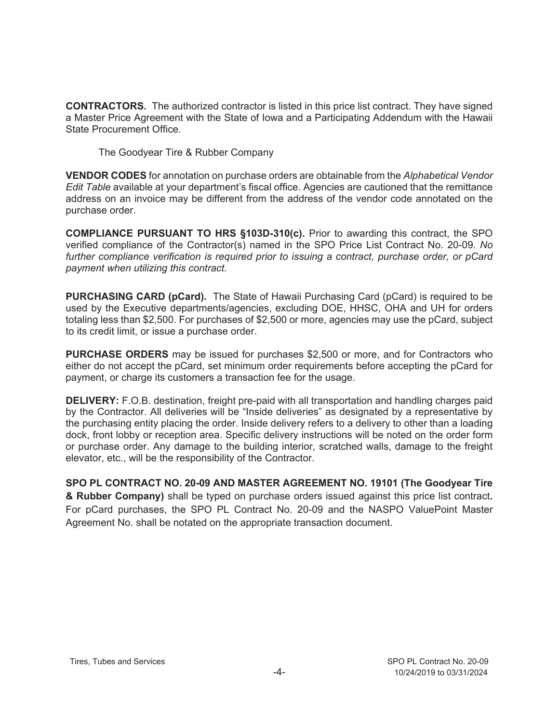**CONTRACTORS.** The authorized contractor is listed in this price list contract. They have signed a Master Price Agreement with the State of Iowa and a Participating Addendum with the Hawaii State Procurement Office.

The Goodyear Tire & Rubber Company

**VENDOR CODES** for annotation on purchase orders are obtainable from the *Alphabetical Vendor Edit Table* available at your department's fiscal office. Agencies are cautioned that the remittance address on an invoice may be different from the address of the vendor code annotated on the purchase order.

**COMPLIANCE PURSUANT TO HRS §103D-310(c).** Prior to awarding this contract, the SPO verified compliance of the Contractor(s) named in the SPO Price List Contract No. 20-09. *No further compliance verification is required prior to issuing a contract, purchase order, or pCard payment when utilizing this contract.*

**PURCHASING CARD (pCard).** The State of Hawaii Purchasing Card (pCard) is required to be used by the Executive departments/agencies, excluding DOE, HHSC, OHA and UH for orders totaling less than \$2,500. For purchases of \$2,500 or more, agencies may use the pCard, subject to its credit limit, or issue a purchase order.

**PURCHASE ORDERS** may be issued for purchases \$2,500 or more, and for Contractors who either do not accept the pCard, set minimum order requirements before accepting the pCard for payment, or charge its customers a transaction fee for the usage.

**DELIVERY:** F.O.B. destination, freight pre-paid with all transportation and handling charges paid by the Contractor. All deliveries will be "Inside deliveries" as designated by a representative by the purchasing entity placing the order. Inside delivery refers to a delivery to other than a loading dock, front lobby or reception area. Specific delivery instructions will be noted on the order form or purchase order. Any damage to the building interior, scratched walls, damage to the freight elevator, etc., will be the responsibility of the Contractor.

**SPO PL CONTRACT NO. 20-09 AND MASTER AGREEMENT NO. 19101 (The Goodyear Tire & Rubber Company)** shall be typed on purchase orders issued against this price list contract**.**  For pCard purchases, the SPO PL Contract No. 20-09 and the NASPO ValuePoint Master Agreement No. shall be notated on the appropriate transaction document.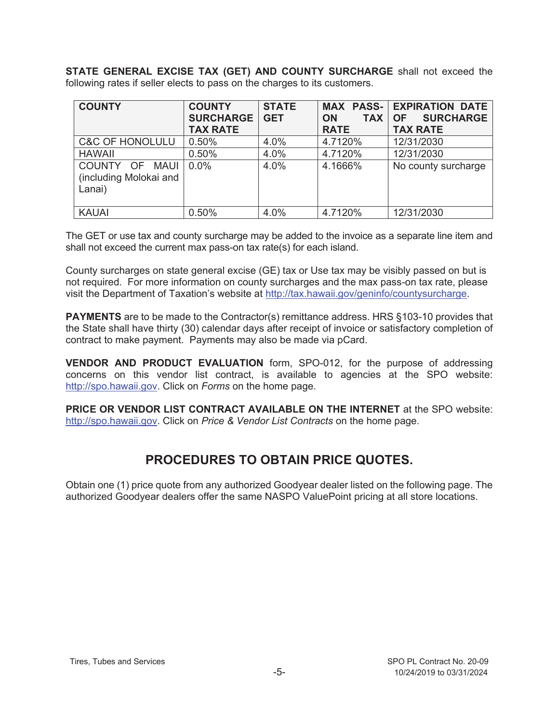**STATE GENERAL EXCISE TAX (GET) AND COUNTY SURCHARGE** shall not exceed the following rates if seller elects to pass on the charges to its customers.

| <b>COUNTY</b>                                      | <b>COUNTY</b><br><b>SURCHARGE</b><br><b>TAX RATE</b> | <b>STATE</b><br><b>GET</b> | <b>TAX</b><br><b>ON</b><br><b>RATE</b> | <b>MAX PASS- EXPIRATION DATE</b><br><b>SURCHARGE</b><br><b>OF</b><br><b>TAX RATE</b> |
|----------------------------------------------------|------------------------------------------------------|----------------------------|----------------------------------------|--------------------------------------------------------------------------------------|
| <b>C&amp;C OF HONOLULU</b>                         | 0.50%                                                | 4.0%                       | 4.7120%                                | 12/31/2030                                                                           |
| <b>HAWAII</b>                                      | 0.50%                                                | 4.0%                       | 4.7120%                                | 12/31/2030                                                                           |
| COUNTY OF MAUI<br>(including Molokai and<br>Lanai) | $0.0\%$                                              | 4.0%                       | 4.1666%                                | No county surcharge                                                                  |
| <b>KAUAI</b>                                       | 0.50%                                                | 4.0%                       | 4.7120%                                | 12/31/2030                                                                           |

The GET or use tax and county surcharge may be added to the invoice as a separate line item and shall not exceed the current max pass-on tax rate(s) for each island.

County surcharges on state general excise (GE) tax or Use tax may be visibly passed on but is not required. For more information on county surcharges and the max pass-on tax rate, please visit the Department of Taxation's website at http://tax.hawaii.gov/geninfo/countysurcharge.

**PAYMENTS** are to be made to the Contractor(s) remittance address. HRS §103-10 provides that the State shall have thirty (30) calendar days after receipt of invoice or satisfactory completion of contract to make payment. Payments may also be made via pCard.

**VENDOR AND PRODUCT EVALUATION** form, SPO-012, for the purpose of addressing concerns on this vendor list contract, is available to agencies at the SPO website: http://spo.hawaii.gov. Click on *Forms* on the home page.

**PRICE OR VENDOR LIST CONTRACT AVAILABLE ON THE INTERNET** at the SPO website: http://spo.hawaii.gov. Click on *Price & Vendor List Contracts* on the home page.

## **PROCEDURES TO OBTAIN PRICE QUOTES.**

Obtain one (1) price quote from any authorized Goodyear dealer listed on the following page. The authorized Goodyear dealers offer the same NASPO ValuePoint pricing at all store locations.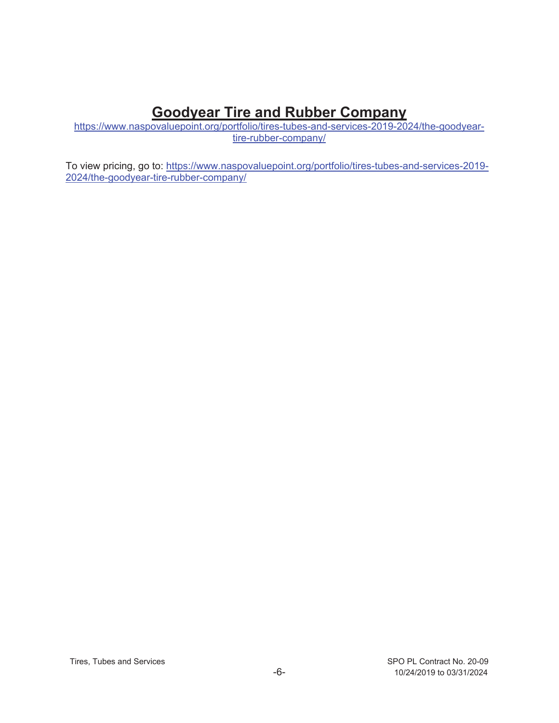# **Goodyear Tire and Rubber Company**

https://www.naspovaluepoint.org/portfolio/tires-tubes-and-services-2019-2024/the-goodyeartire-rubber-company/

To view pricing, go to: https://www.naspovaluepoint.org/portfolio/tires-tubes-and-services-2019- 2024/the-goodyear-tire-rubber-company/